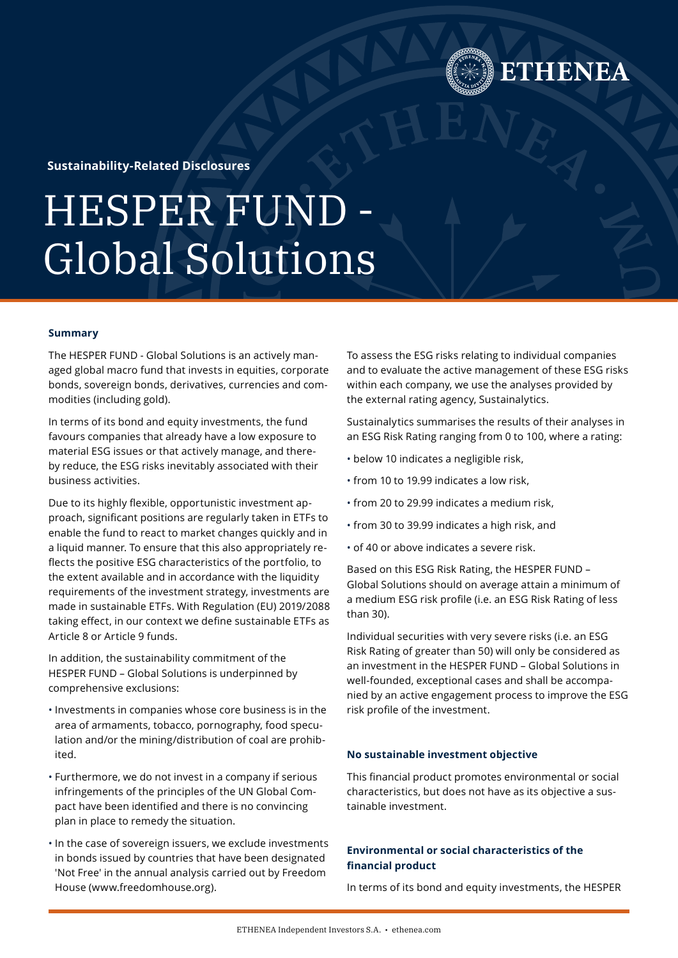**Sustainability-Related Disclosures**

# HESPER FUND - Global Solutions

# **Summary**

The HESPER FUND - Global Solutions is an actively managed global macro fund that invests in equities, corporate bonds, sovereign bonds, derivatives, currencies and commodities (including gold).

In terms of its bond and equity investments, the fund favours companies that already have a low exposure to material ESG issues or that actively manage, and thereby reduce, the ESG risks inevitably associated with their business activities.

Due to its highly flexible, opportunistic investment approach, significant positions are regularly taken in ETFs to enable the fund to react to market changes quickly and in a liquid manner. To ensure that this also appropriately reflects the positive ESG characteristics of the portfolio, to the extent available and in accordance with the liquidity requirements of the investment strategy, investments are made in sustainable ETFs. With Regulation (EU) 2019/2088 taking effect, in our context we define sustainable ETFs as Article 8 or Article 9 funds.

In addition, the sustainability commitment of the HESPER FUND – Global Solutions is underpinned by comprehensive exclusions:

- Investments in companies whose core business is in the area of armaments, tobacco, pornography, food speculation and/or the mining/distribution of coal are prohibited.
- Furthermore, we do not invest in a company if serious infringements of the principles of the UN Global Compact have been identified and there is no convincing plan in place to remedy the situation.
- In the case of sovereign issuers, we exclude investments in bonds issued by countries that have been designated 'Not Free' in the annual analysis carried out by Freedom House ([www.freedomhouse.org](https://freedomhouse.org/)).

To assess the ESG risks relating to individual companies and to evaluate the active management of these ESG risks within each company, we use the analyses provided by the external rating agency, Sustainalytics.

**HENEA** 

Sustainalytics summarises the results of their analyses in an ESG Risk Rating ranging from 0 to 100, where a rating:

- below 10 indicates a negligible risk,
- from 10 to 19.99 indicates a low risk,
- from 20 to 29.99 indicates a medium risk,
- from 30 to 39.99 indicates a high risk, and
- of 40 or above indicates a severe risk.

Based on this ESG Risk Rating, the HESPER FUND – Global Solutions should on average attain a minimum of a medium ESG risk profile (i.e. an ESG Risk Rating of less than 30).

Individual securities with very severe risks (i.e. an ESG Risk Rating of greater than 50) will only be considered as an investment in the HESPER FUND – Global Solutions in well-founded, exceptional cases and shall be accompanied by an active engagement process to improve the ESG risk profile of the investment.

# **No sustainable investment objective**

This financial product promotes environmental or social characteristics, but does not have as its objective a sustainable investment.

# **Environmental or social characteristics of the financial product**

In terms of its bond and equity investments, the HESPER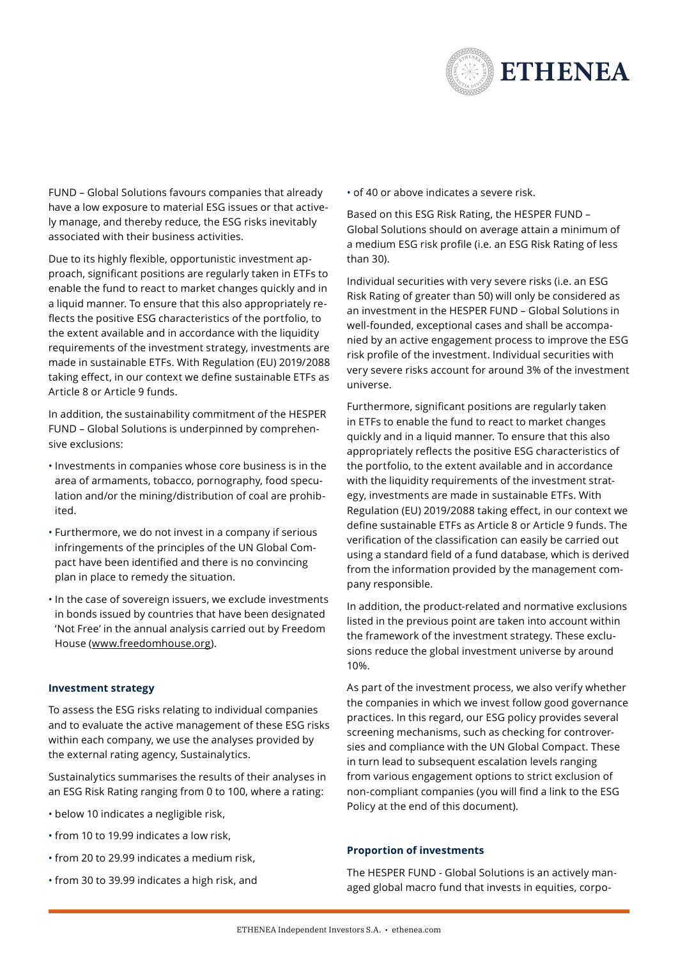

FUND – Global Solutions favours companies that already have a low exposure to material ESG issues or that actively manage, and thereby reduce, the ESG risks inevitably associated with their business activities.

Due to its highly flexible, opportunistic investment approach, significant positions are regularly taken in ETFs to enable the fund to react to market changes quickly and in a liquid manner. To ensure that this also appropriately reflects the positive ESG characteristics of the portfolio, to the extent available and in accordance with the liquidity requirements of the investment strategy, investments are made in sustainable ETFs. With Regulation (EU) 2019/2088 taking effect, in our context we define sustainable ETFs as Article 8 or Article 9 funds.

In addition, the sustainability commitment of the HESPER FUND – Global Solutions is underpinned by comprehensive exclusions:

- Investments in companies whose core business is in the area of armaments, tobacco, pornography, food speculation and/or the mining/distribution of coal are prohibited.
- Furthermore, we do not invest in a company if serious infringements of the principles of the UN Global Compact have been identified and there is no convincing plan in place to remedy the situation.
- In the case of sovereign issuers, we exclude investments in bonds issued by countries that have been designated 'Not Free' in the annual analysis carried out by Freedom House (www.freedomhouse.org).

# **Investment strategy**

To assess the ESG risks relating to individual companies and to evaluate the active management of these ESG risks within each company, we use the analyses provided by the external rating agency, Sustainalytics.

Sustainalytics summarises the results of their analyses in an ESG Risk Rating ranging from 0 to 100, where a rating:

- below 10 indicates a negligible risk,
- from 10 to 19.99 indicates a low risk,
- from 20 to 29.99 indicates a medium risk,
- from 30 to 39.99 indicates a high risk, and

• of 40 or above indicates a severe risk.

Based on this ESG Risk Rating, the HESPER FUND – Global Solutions should on average attain a minimum of a medium ESG risk profile (i.e. an ESG Risk Rating of less than 30).

Individual securities with very severe risks (i.e. an ESG Risk Rating of greater than 50) will only be considered as an investment in the HESPER FUND – Global Solutions in well-founded, exceptional cases and shall be accompanied by an active engagement process to improve the ESG risk profile of the investment. Individual securities with very severe risks account for around 3% of the investment universe.

Furthermore, significant positions are regularly taken in ETFs to enable the fund to react to market changes quickly and in a liquid manner. To ensure that this also appropriately reflects the positive ESG characteristics of the portfolio, to the extent available and in accordance with the liquidity requirements of the investment strategy, investments are made in sustainable ETFs. With Regulation (EU) 2019/2088 taking effect, in our context we define sustainable ETFs as Article 8 or Article 9 funds. The verification of the classification can easily be carried out using a standard field of a fund database, which is derived from the information provided by the management company responsible.

In addition, the product-related and normative exclusions listed in the previous point are taken into account within the framework of the investment strategy. These exclusions reduce the global investment universe by around 10%.

As part of the investment process, we also verify whether the companies in which we invest follow good governance practices. In this regard, our ESG policy provides several screening mechanisms, such as checking for controversies and compliance with the UN Global Compact. These in turn lead to subsequent escalation levels ranging from various engagement options to strict exclusion of non-compliant companies (you will find a link to the ESG Policy at the end of this document).

#### **Proportion of investments**

The HESPER FUND - Global Solutions is an actively managed global macro fund that invests in equities, corpo-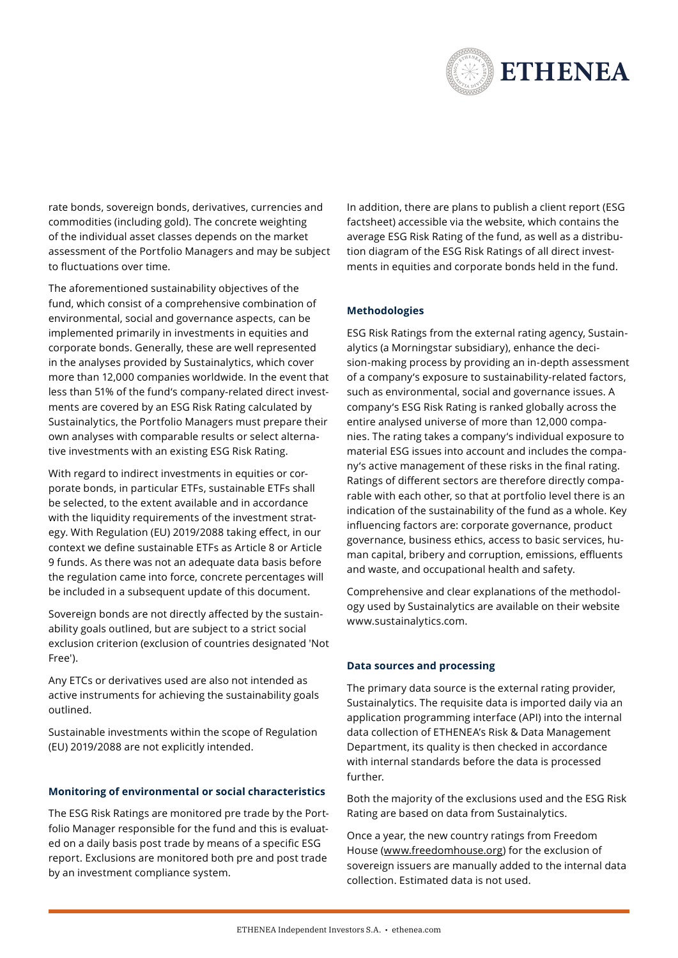

rate bonds, sovereign bonds, derivatives, currencies and commodities (including gold). The concrete weighting of the individual asset classes depends on the market assessment of the Portfolio Managers and may be subject to fluctuations over time.

The aforementioned sustainability objectives of the fund, which consist of a comprehensive combination of environmental, social and governance aspects, can be implemented primarily in investments in equities and corporate bonds. Generally, these are well represented in the analyses provided by Sustainalytics, which cover more than 12,000 companies worldwide. In the event that less than 51% of the fund's company-related direct investments are covered by an ESG Risk Rating calculated by Sustainalytics, the Portfolio Managers must prepare their own analyses with comparable results or select alternative investments with an existing ESG Risk Rating.

With regard to indirect investments in equities or corporate bonds, in particular ETFs, sustainable ETFs shall be selected, to the extent available and in accordance with the liquidity requirements of the investment strategy. With Regulation (EU) 2019/2088 taking effect, in our context we define sustainable ETFs as Article 8 or Article 9 funds. As there was not an adequate data basis before the regulation came into force, concrete percentages will be included in a subsequent update of this document.

Sovereign bonds are not directly affected by the sustainability goals outlined, but are subject to a strict social exclusion criterion (exclusion of countries designated 'Not Free').

Any ETCs or derivatives used are also not intended as active instruments for achieving the sustainability goals outlined.

Sustainable investments within the scope of Regulation (EU) 2019/2088 are not explicitly intended.

# **Monitoring of environmental or social characteristics**

The ESG Risk Ratings are monitored pre trade by the Portfolio Manager responsible for the fund and this is evaluated on a daily basis post trade by means of a specific ESG report. Exclusions are monitored both pre and post trade by an investment compliance system.

In addition, there are plans to publish a client report (ESG factsheet) accessible via the website, which contains the average ESG Risk Rating of the fund, as well as a distribution diagram of the ESG Risk Ratings of all direct investments in equities and corporate bonds held in the fund.

#### **Methodologies**

ESG Risk Ratings from the external rating agency, Sustainalytics (a Morningstar subsidiary), enhance the decision-making process by providing an in-depth assessment of a company's exposure to sustainability-related factors, such as environmental, social and governance issues. A company's ESG Risk Rating is ranked globally across the entire analysed universe of more than 12,000 companies. The rating takes a company's individual exposure to material ESG issues into account and includes the company's active management of these risks in the final rating. Ratings of different sectors are therefore directly comparable with each other, so that at portfolio level there is an indication of the sustainability of the fund as a whole. Key influencing factors are: corporate governance, product governance, business ethics, access to basic services, human capital, bribery and corruption, emissions, effluents and waste, and occupational health and safety.

Comprehensive and clear explanations of the methodology used by Sustainalytics are available on their website [www.sustainalytics.com](https://www.sustainalytics.com/).

#### **Data sources and processing**

The primary data source is the external rating provider, Sustainalytics. The requisite data is imported daily via an application programming interface (API) into the internal data collection of ETHENEA's Risk & Data Management Department, its quality is then checked in accordance with internal standards before the data is processed further.

Both the majority of the exclusions used and the ESG Risk Rating are based on data from Sustainalytics.

Once a year, the new country ratings from Freedom House [\(www.freedomhouse.org\)](https://freedomhouse.org/) for the exclusion of sovereign issuers are manually added to the internal data collection. Estimated data is not used.